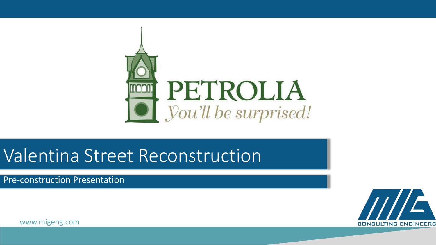

### Valentina Street Reconstruction

Pre-construction Presentation

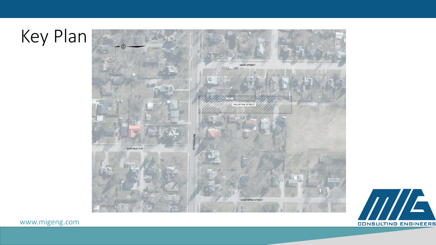# Key Plan



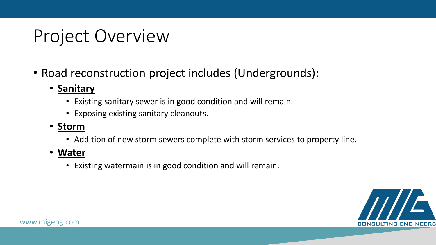## Project Overview

- Road reconstruction project includes (Undergrounds):
	- **Sanitary**
		- Existing sanitary sewer is in good condition and will remain.
		- Exposing existing sanitary cleanouts.
	- **Storm**
		- Addition of new storm sewers complete with storm services to property line.
	- **Water** 
		- Existing watermain is in good condition and will remain.

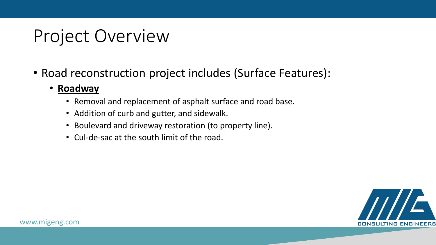## Project Overview

- Road reconstruction project includes (Surface Features):
	- **Roadway**
		- Removal and replacement of asphalt surface and road base.
		- Addition of curb and gutter, and sidewalk.
		- Boulevard and driveway restoration (to property line).
		- Cul-de-sac at the south limit of the road.

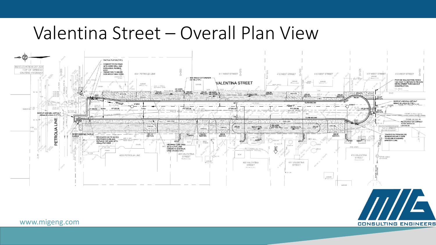#### Valentina Street – Overall Plan View



**CONSULTING ENGINEERS**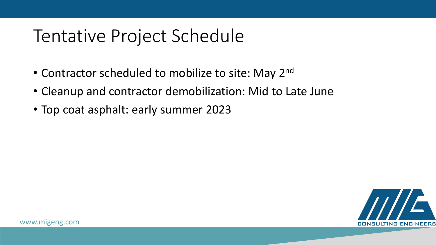#### Tentative Project Schedule

- Contractor scheduled to mobilize to site: May 2<sup>nd</sup>
- Cleanup and contractor demobilization: Mid to Late June
- Top coat asphalt: early summer 2023

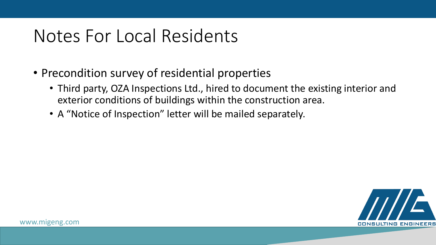### Notes For Local Residents

- Precondition survey of residential properties
	- Third party, OZA Inspections Ltd., hired to document the existing interior and exterior conditions of buildings within the construction area.
	- A "Notice of Inspection" letter will be mailed separately.

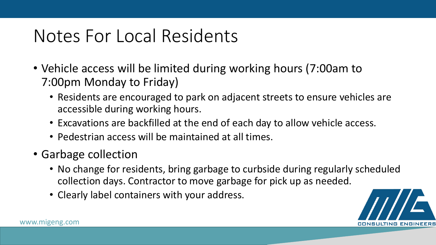### Notes For Local Residents

- Vehicle access will be limited during working hours (7:00am to 7:00pm Monday to Friday)
	- Residents are encouraged to park on adjacent streets to ensure vehicles are accessible during working hours.
	- Excavations are backfilled at the end of each day to allow vehicle access.
	- Pedestrian access will be maintained at all times.
- Garbage collection
	- No change for residents, bring garbage to curbside during regularly scheduled collection days. Contractor to move garbage for pick up as needed.
	- Clearly label containers with your address.

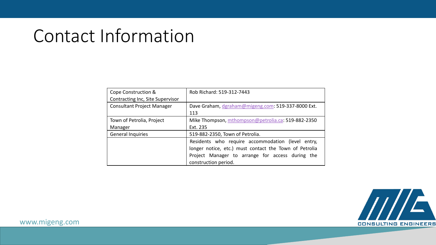#### Contact Information

| Cope Construction &               | Rob Richard: 519-312-7443                              |
|-----------------------------------|--------------------------------------------------------|
| Contracting Inc, Site Supervisor  |                                                        |
| <b>Consultant Project Manager</b> | Dave Graham, dgraham@migeng.com: 519-337-8000 Ext.     |
|                                   | 113                                                    |
| Town of Petrolia, Project         | Mike Thompson, mthompson@petrolia.ca: 519-882-2350     |
| Manager                           | Ext. 235                                               |
| <b>General Inquiries</b>          | 519-882-2350, Town of Petrolia.                        |
|                                   | Residents who require accommodation (level entry,      |
|                                   | longer notice, etc.) must contact the Town of Petrolia |
|                                   | Project Manager to arrange for access during the       |
|                                   | construction period.                                   |